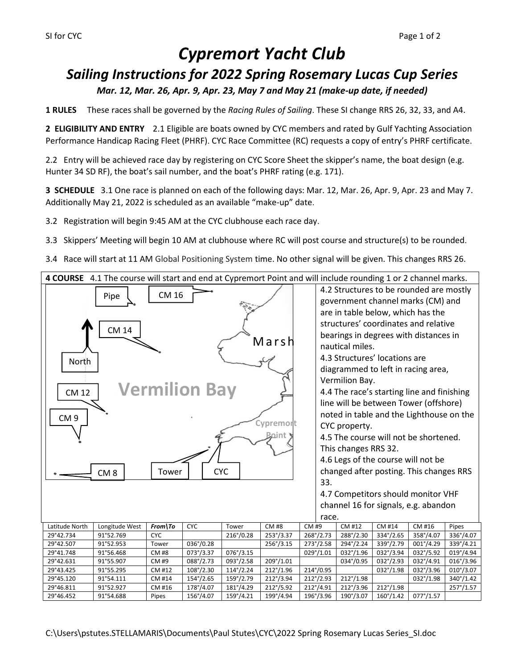# *Cypremort Yacht Club*

# *Sailing Instructions for 2022 Spring Rosemary Lucas Cup Series Mar. 12, Mar. 26, Apr. 9, Apr. 23, May 7 and May 21 (make-up date, if needed)*

**1 RULES** These races shall be governed by the *Racing Rules of Sailing*. These SI change RRS 26, 32, 33, and A4.

**2 ELIGIBILITY AND ENTRY** 2.1 Eligible are boats owned by CYC members and rated by Gulf Yachting Association Performance Handicap Racing Fleet (PHRF). CYC Race Committee (RC) requests a copy of entry's PHRF certificate.

2.2 Entry will be achieved race day by registering on CYC Score Sheet the skipper's name, the boat design (e.g. Hunter 34 SD RF), the boat's sail number, and the boat's PHRF rating (e.g. 171).

**3 SCHEDULE** 3.1 One race is planned on each of the following days: Mar. 12, Mar. 26, Apr. 9, Apr. 23 and May 7. Additionally May 21, 2022 is scheduled as an available "make-up" date.

3.2 Registration will begin 9:45 AM at the CYC clubhouse each race day.

3.3 Skippers' Meeting will begin 10 AM at clubhouse where RC will post course and structure(s) to be rounded.

3.4 Race will start at 11 AM Global Positioning System time. No other signal will be given. This changes RRS 26.